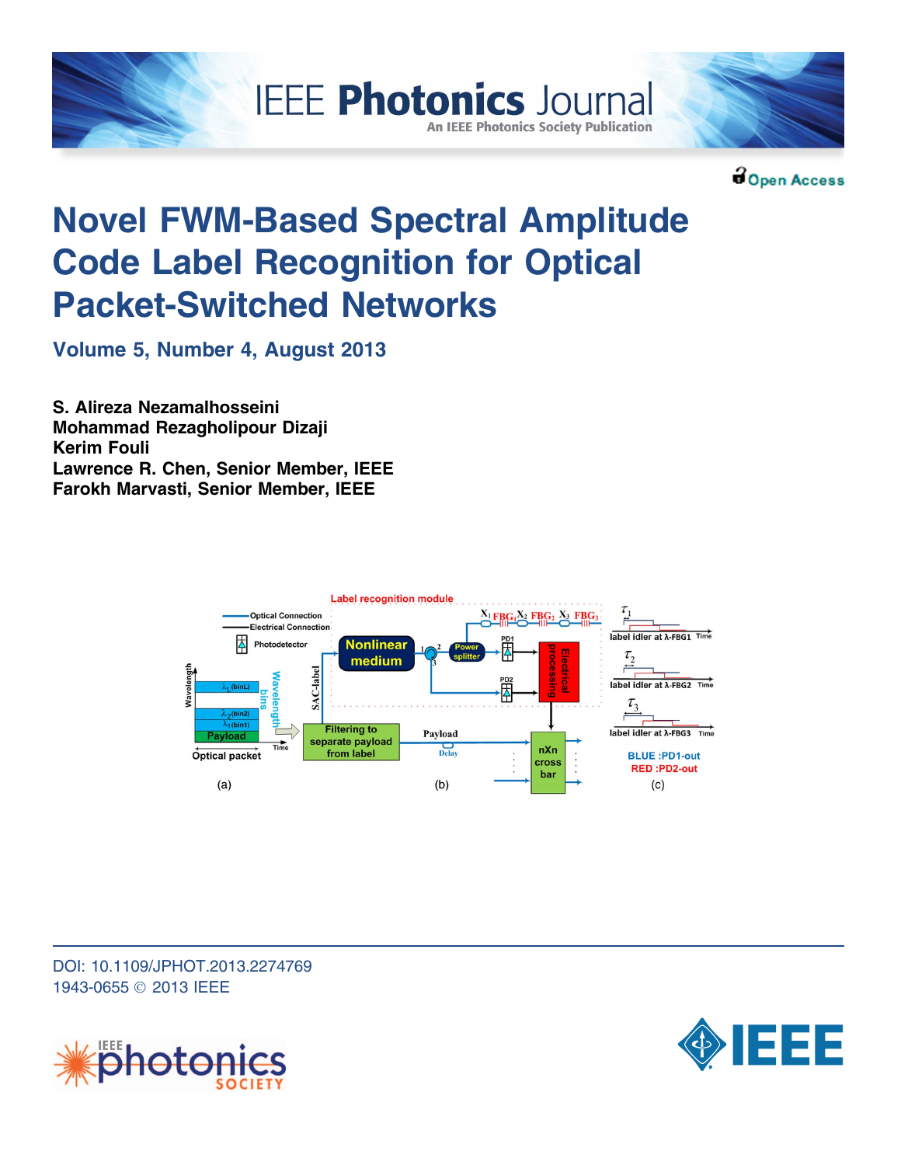



Open Access

# Novel FWM-Based Spectral Amplitude Code Label Recognition for Optical Packet-Switched Networks

**IEEE Photonics Journal** 

**An IEEE Photonics Society Publication** 

Volume 5, Number 4, August 2013

S. Alireza Nezamalhosseini Mohammad Rezagholipour Dizaji Kerim Fouli Lawrence R. Chen, Senior Member, IEEE Farokh Marvasti, Senior Member, IEEE



DOI: 10.1109/JPHOT.2013.2274769 1943-0655 © 2013 IEEE



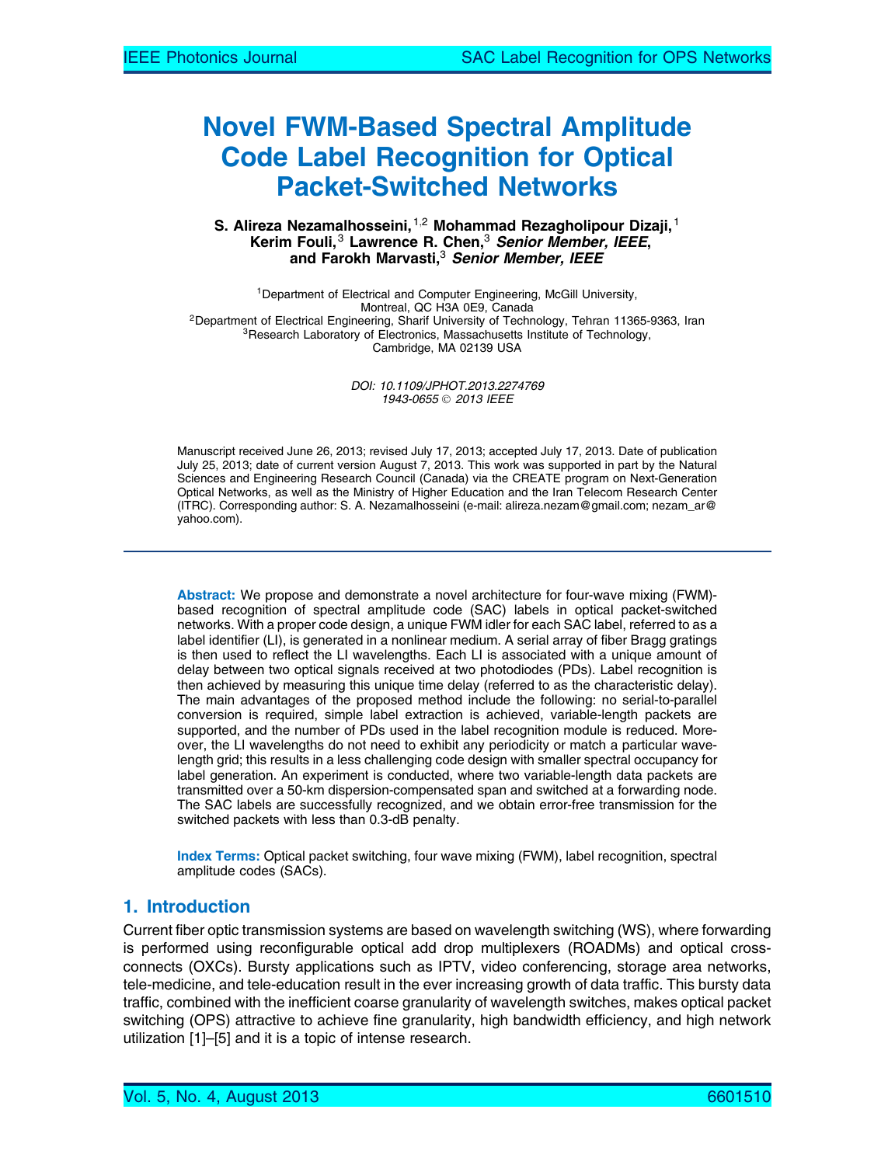# Novel FWM-Based Spectral Amplitude Code Label Recognition for Optical Packet-Switched Networks

#### S. Alireza Nezamalhosseini,  $1,2$  Mohammad Rezagholipour Dizaji,  $1$ Kerim Fouli,  $3$  Lawrence R. Chen,  $3$  Senior Member, IEEE, and Farokh Marvasti, $3$  Senior Member, IEEE

<sup>1</sup>Department of Electrical and Computer Engineering, McGill University,<br>Montreal, QC H3A 0E9, Canada <sup>2</sup>Department of Electrical Engineering, Sharif University of Technology, Tehran 11365-9363, Iran <sup>3</sup>Research Laboratory of Electronics, Massachusetts Institute of Technology, Cambridge, MA 02139 USA

> DOI: 10.1109/JPHOT.2013.2274769 1943-0655 © 2013 IEEE

Manuscript received June 26, 2013; revised July 17, 2013; accepted July 17, 2013. Date of publication July 25, 2013; date of current version August 7, 2013. This work was supported in part by the Natural Sciences and Engineering Research Council (Canada) via the CREATE program on Next-Generation Optical Networks, as well as the Ministry of Higher Education and the Iran Telecom Research Center (ITRC). Corresponding author: S. A. Nezamalhosseini (e-mail: alireza.nezam@gmail.com; nezam\_ar@ yahoo.com).

Abstract: We propose and demonstrate a novel architecture for four-wave mixing (FWM) based recognition of spectral amplitude code (SAC) labels in optical packet-switched networks. With a proper code design, a unique FWM idler for each SAC label, referred to as a label identifier (LI), is generated in a nonlinear medium. A serial array of fiber Bragg gratings is then used to reflect the LI wavelengths. Each LI is associated with a unique amount of delay between two optical signals received at two photodiodes (PDs). Label recognition is then achieved by measuring this unique time delay (referred to as the characteristic delay). The main advantages of the proposed method include the following: no serial-to-parallel conversion is required, simple label extraction is achieved, variable-length packets are supported, and the number of PDs used in the label recognition module is reduced. Moreover, the LI wavelengths do not need to exhibit any periodicity or match a particular wavelength grid; this results in a less challenging code design with smaller spectral occupancy for label generation. An experiment is conducted, where two variable-length data packets are transmitted over a 50-km dispersion-compensated span and switched at a forwarding node. The SAC labels are successfully recognized, and we obtain error-free transmission for the switched packets with less than 0.3-dB penalty.

Index Terms: Optical packet switching, four wave mixing (FWM), label recognition, spectral amplitude codes (SACs).

# 1. Introduction

Current fiber optic transmission systems are based on wavelength switching (WS), where forwarding is performed using reconfigurable optical add drop multiplexers (ROADMs) and optical crossconnects (OXCs). Bursty applications such as IPTV, video conferencing, storage area networks, tele-medicine, and tele-education result in the ever increasing growth of data traffic. This bursty data traffic, combined with the inefficient coarse granularity of wavelength switches, makes optical packet switching (OPS) attractive to achieve fine granularity, high bandwidth efficiency, and high network utilization [1]–[5] and it is a topic of intense research.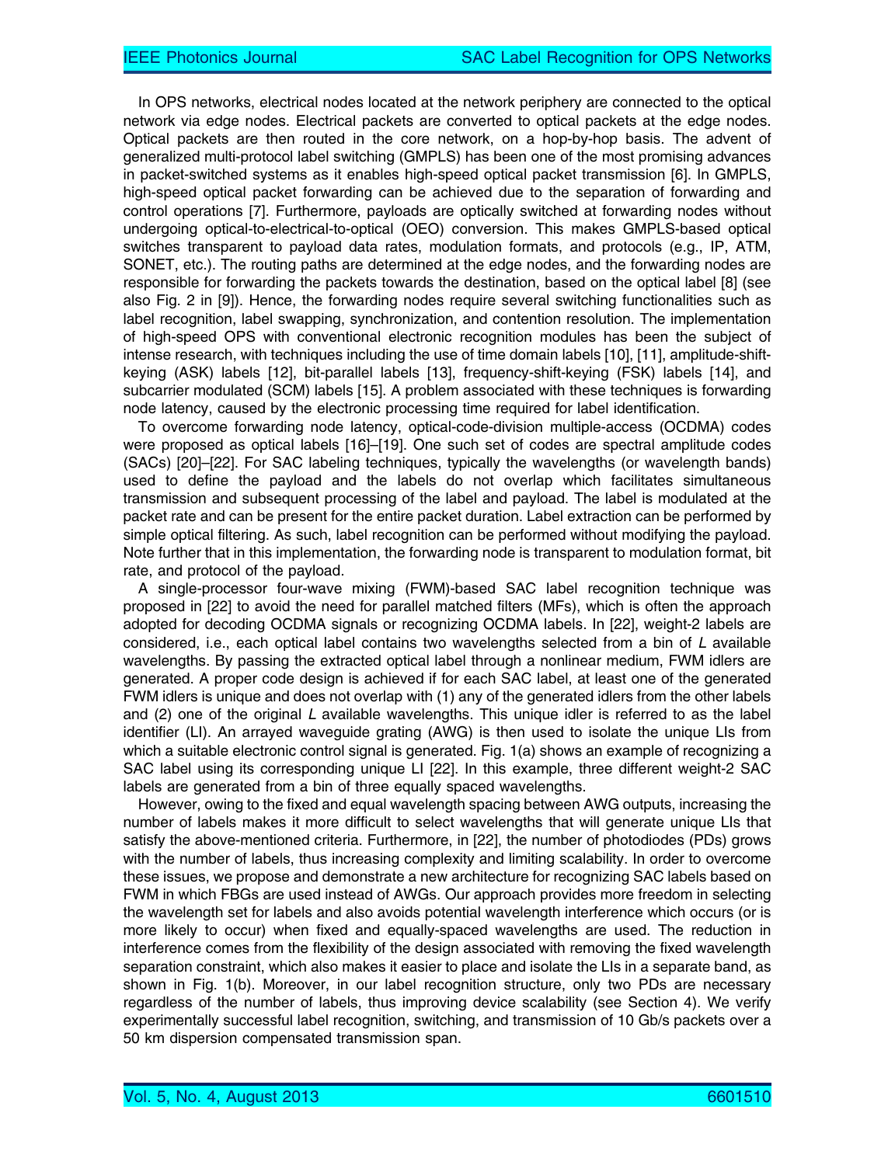In OPS networks, electrical nodes located at the network periphery are connected to the optical network via edge nodes. Electrical packets are converted to optical packets at the edge nodes. Optical packets are then routed in the core network, on a hop-by-hop basis. The advent of generalized multi-protocol label switching (GMPLS) has been one of the most promising advances in packet-switched systems as it enables high-speed optical packet transmission [6]. In GMPLS, high-speed optical packet forwarding can be achieved due to the separation of forwarding and control operations [7]. Furthermore, payloads are optically switched at forwarding nodes without undergoing optical-to-electrical-to-optical (OEO) conversion. This makes GMPLS-based optical switches transparent to payload data rates, modulation formats, and protocols (e.g., IP, ATM, SONET, etc.). The routing paths are determined at the edge nodes, and the forwarding nodes are responsible for forwarding the packets towards the destination, based on the optical label [8] (see also Fig. 2 in [9]). Hence, the forwarding nodes require several switching functionalities such as label recognition, label swapping, synchronization, and contention resolution. The implementation of high-speed OPS with conventional electronic recognition modules has been the subject of intense research, with techniques including the use of time domain labels [10], [11], amplitude-shiftkeying (ASK) labels [12], bit-parallel labels [13], frequency-shift-keying (FSK) labels [14], and subcarrier modulated (SCM) labels [15]. A problem associated with these techniques is forwarding node latency, caused by the electronic processing time required for label identification.

To overcome forwarding node latency, optical-code-division multiple-access (OCDMA) codes were proposed as optical labels [16]–[19]. One such set of codes are spectral amplitude codes (SACs) [20]–[22]. For SAC labeling techniques, typically the wavelengths (or wavelength bands) used to define the payload and the labels do not overlap which facilitates simultaneous transmission and subsequent processing of the label and payload. The label is modulated at the packet rate and can be present for the entire packet duration. Label extraction can be performed by simple optical filtering. As such, label recognition can be performed without modifying the payload. Note further that in this implementation, the forwarding node is transparent to modulation format, bit rate, and protocol of the payload.

A single-processor four-wave mixing (FWM)-based SAC label recognition technique was proposed in [22] to avoid the need for parallel matched filters (MFs), which is often the approach adopted for decoding OCDMA signals or recognizing OCDMA labels. In [22], weight-2 labels are considered, i.e., each optical label contains two wavelengths selected from a bin of L available wavelengths. By passing the extracted optical label through a nonlinear medium, FWM idlers are generated. A proper code design is achieved if for each SAC label, at least one of the generated FWM idlers is unique and does not overlap with (1) any of the generated idlers from the other labels and  $(2)$  one of the original L available wavelengths. This unique idler is referred to as the label identifier (LI). An arrayed waveguide grating (AWG) is then used to isolate the unique LIs from which a suitable electronic control signal is generated. Fig. 1(a) shows an example of recognizing a SAC label using its corresponding unique LI [22]. In this example, three different weight-2 SAC labels are generated from a bin of three equally spaced wavelengths.

However, owing to the fixed and equal wavelength spacing between AWG outputs, increasing the number of labels makes it more difficult to select wavelengths that will generate unique LIs that satisfy the above-mentioned criteria. Furthermore, in [22], the number of photodiodes (PDs) grows with the number of labels, thus increasing complexity and limiting scalability. In order to overcome these issues, we propose and demonstrate a new architecture for recognizing SAC labels based on FWM in which FBGs are used instead of AWGs. Our approach provides more freedom in selecting the wavelength set for labels and also avoids potential wavelength interference which occurs (or is more likely to occur) when fixed and equally-spaced wavelengths are used. The reduction in interference comes from the flexibility of the design associated with removing the fixed wavelength separation constraint, which also makes it easier to place and isolate the LIs in a separate band, as shown in Fig. 1(b). Moreover, in our label recognition structure, only two PDs are necessary regardless of the number of labels, thus improving device scalability (see Section 4). We verify experimentally successful label recognition, switching, and transmission of 10 Gb/s packets over a 50 km dispersion compensated transmission span.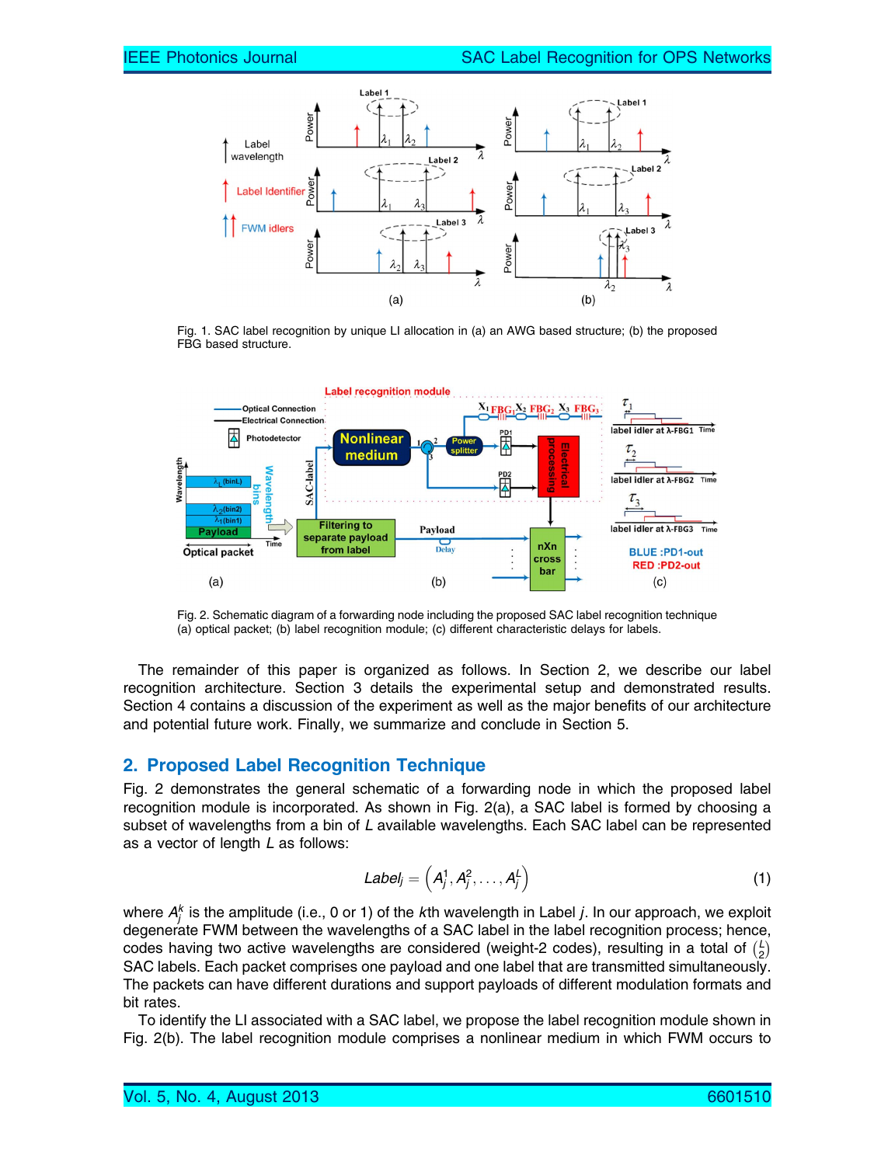

Fig. 1. SAC label recognition by unique LI allocation in (a) an AWG based structure; (b) the proposed FBG based structure.



Fig. 2. Schematic diagram of a forwarding node including the proposed SAC label recognition technique (a) optical packet; (b) label recognition module; (c) different characteristic delays for labels.

The remainder of this paper is organized as follows. In Section 2, we describe our label recognition architecture. Section 3 details the experimental setup and demonstrated results. Section 4 contains a discussion of the experiment as well as the major benefits of our architecture and potential future work. Finally, we summarize and conclude in Section 5.

## 2. Proposed Label Recognition Technique

Fig. 2 demonstrates the general schematic of a forwarding node in which the proposed label recognition module is incorporated. As shown in Fig. 2(a), a SAC label is formed by choosing a subset of wavelengths from a bin of L available wavelengths. Each SAC label can be represented as a vector of length L as follows:

$$
Label_j = \left(A_j^1, A_j^2, \ldots, A_j^L\right) \tag{1}
$$

where  $A_j^k$  is the amplitude (i.e., 0 or 1) of the *k*th wavelength in Label *j*. In our approach, we exploit degenerate FWM between the wavelengths of a SAC label in the label recognition process; hence, codes having two active wavelengths are considered (weight-2 codes), resulting in a total of  $\binom{L}{2}$  $\frac{1}{\sqrt{L}}$ SAC labels. Each packet comprises one payload and one label that are transmitted simultaneously. The packets can have different durations and support payloads of different modulation formats and bit rates.

To identify the LI associated with a SAC label, we propose the label recognition module shown in Fig. 2(b). The label recognition module comprises a nonlinear medium in which FWM occurs to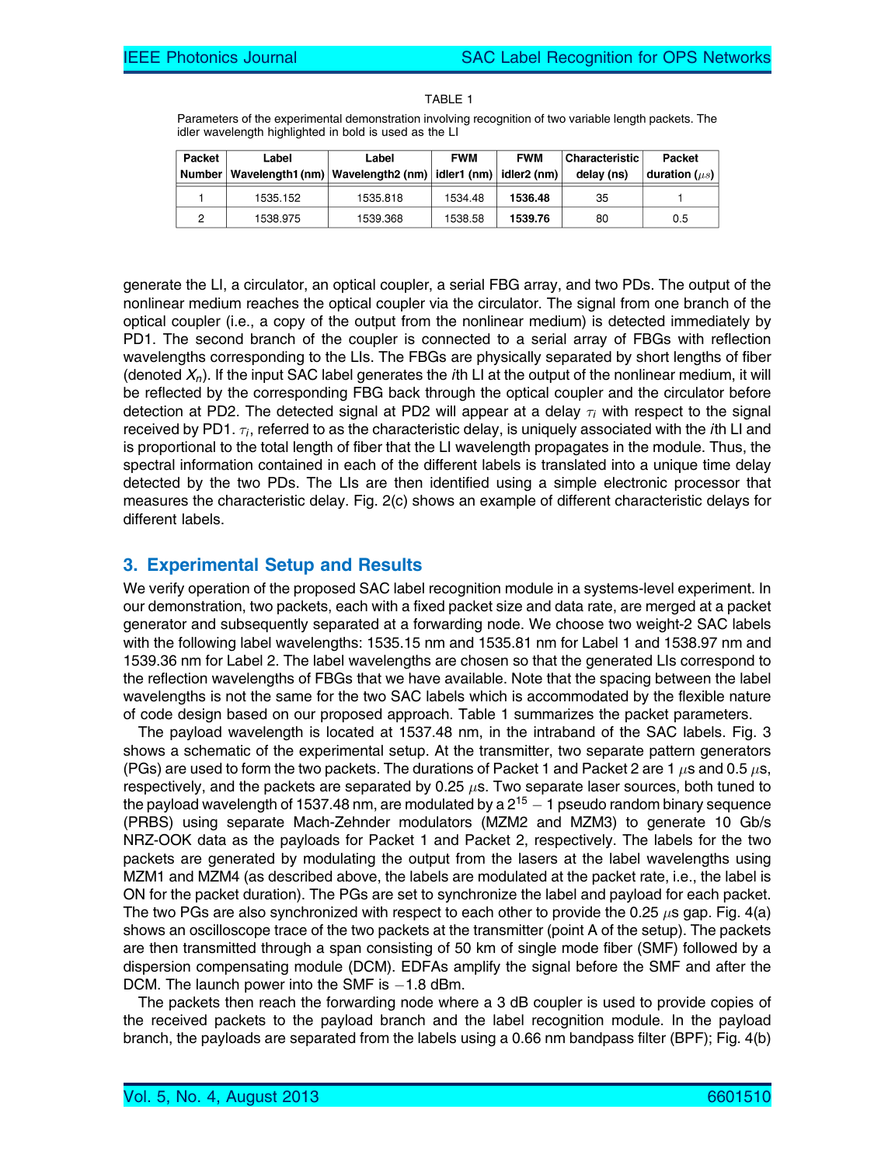| TABI FI |  |
|---------|--|

Parameters of the experimental demonstration involving recognition of two variable length packets. The idler wavelength highlighted in bold is used as the LI

| Packet | Label    | Label                                             | <b>FWM</b> | <b>FWM</b>  | <b>Characteristic</b> | Packet             |
|--------|----------|---------------------------------------------------|------------|-------------|-----------------------|--------------------|
| Number |          | Wavelength1 (nm)   Wavelength2 (nm)   idler1 (nm) |            | idler2 (nm) | delay (ns)            | duration $(\mu s)$ |
|        | 1535.152 | 1535.818                                          | 1534.48    | 1536.48     | 35                    |                    |
|        | 1538.975 | 1539.368                                          | 1538.58    | 1539.76     | 80                    | 0.5                |

generate the LI, a circulator, an optical coupler, a serial FBG array, and two PDs. The output of the nonlinear medium reaches the optical coupler via the circulator. The signal from one branch of the optical coupler (i.e., a copy of the output from the nonlinear medium) is detected immediately by PD1. The second branch of the coupler is connected to a serial array of FBGs with reflection wavelengths corresponding to the LIs. The FBGs are physically separated by short lengths of fiber (denoted  $X_n$ ). If the input SAC label generates the *i*th LI at the output of the nonlinear medium, it will be reflected by the corresponding FBG back through the optical coupler and the circulator before detection at PD2. The detected signal at PD2 will appear at a delay  $\tau_i$  with respect to the signal received by PD1.  $\tau_i$ , referred to as the characteristic delay, is uniquely associated with the *i*th LI and is proportional to the total length of fiber that the LI wavelength propagates in the module. Thus, the spectral information contained in each of the different labels is translated into a unique time delay detected by the two PDs. The LIs are then identified using a simple electronic processor that measures the characteristic delay. Fig. 2(c) shows an example of different characteristic delays for different labels.

### 3. Experimental Setup and Results

We verify operation of the proposed SAC label recognition module in a systems-level experiment. In our demonstration, two packets, each with a fixed packet size and data rate, are merged at a packet generator and subsequently separated at a forwarding node. We choose two weight-2 SAC labels with the following label wavelengths: 1535.15 nm and 1535.81 nm for Label 1 and 1538.97 nm and 1539.36 nm for Label 2. The label wavelengths are chosen so that the generated LIs correspond to the reflection wavelengths of FBGs that we have available. Note that the spacing between the label wavelengths is not the same for the two SAC labels which is accommodated by the flexible nature of code design based on our proposed approach. Table 1 summarizes the packet parameters.

The payload wavelength is located at 1537.48 nm, in the intraband of the SAC labels. Fig. 3 shows a schematic of the experimental setup. At the transmitter, two separate pattern generators (PGs) are used to form the two packets. The durations of Packet 1 and Packet 2 are 1  $\mu$ s and 0.5  $\mu$ s, respectively, and the packets are separated by 0.25  $\mu$ s. Two separate laser sources, both tuned to the payload wavelength of 1537.48 nm, are modulated by a 2 $^{15}$   $-$  1 pseudo random binary sequence (PRBS) using separate Mach-Zehnder modulators (MZM2 and MZM3) to generate 10 Gb/s NRZ-OOK data as the payloads for Packet 1 and Packet 2, respectively. The labels for the two packets are generated by modulating the output from the lasers at the label wavelengths using MZM1 and MZM4 (as described above, the labels are modulated at the packet rate, i.e., the label is ON for the packet duration). The PGs are set to synchronize the label and payload for each packet. The two PGs are also synchronized with respect to each other to provide the 0.25  $\mu$ s gap. Fig. 4(a) shows an oscilloscope trace of the two packets at the transmitter (point A of the setup). The packets are then transmitted through a span consisting of 50 km of single mode fiber (SMF) followed by a dispersion compensating module (DCM). EDFAs amplify the signal before the SMF and after the DCM. The launch power into the SMF is  $-1.8$  dBm.

The packets then reach the forwarding node where a 3 dB coupler is used to provide copies of the received packets to the payload branch and the label recognition module. In the payload branch, the payloads are separated from the labels using a 0.66 nm bandpass filter (BPF); Fig. 4(b)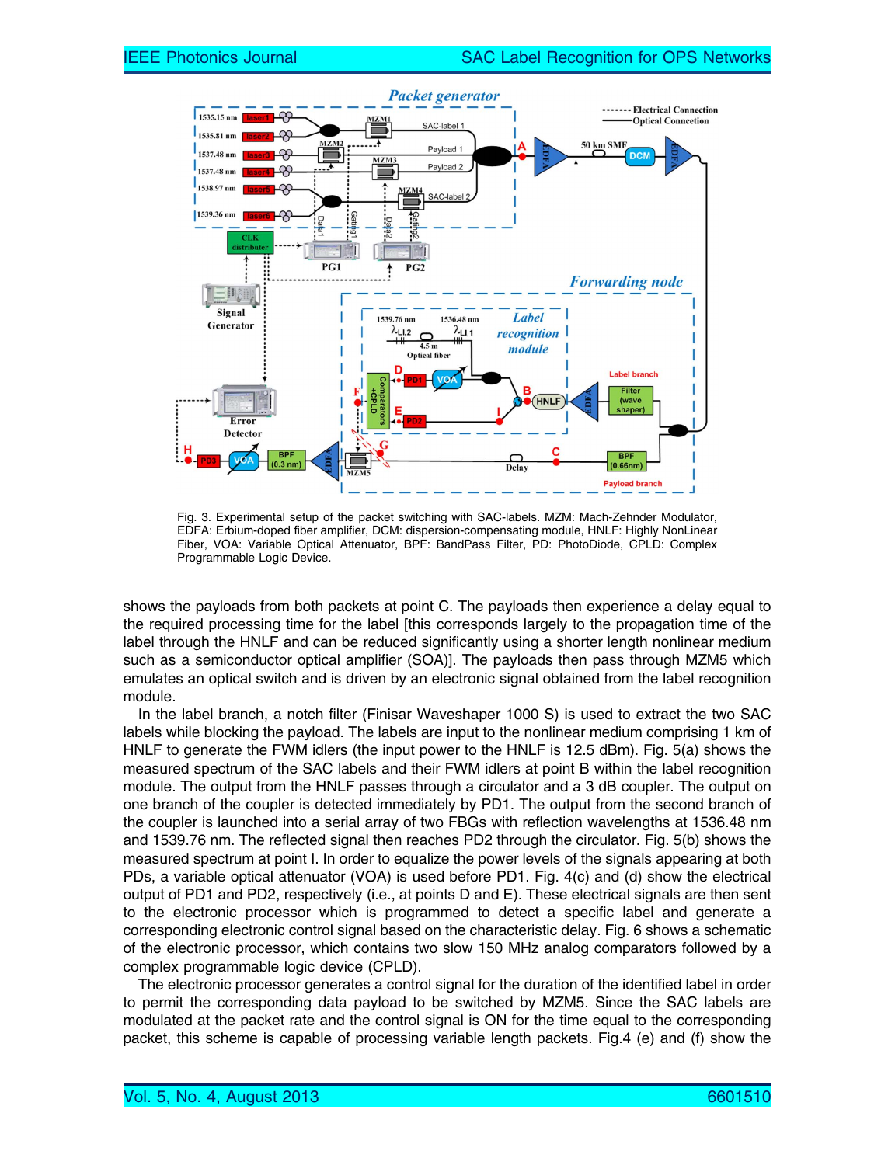

Fig. 3. Experimental setup of the packet switching with SAC-labels. MZM: Mach-Zehnder Modulator, EDFA: Erbium-doped fiber amplifier, DCM: dispersion-compensating module, HNLF: Highly NonLinear Fiber, VOA: Variable Optical Attenuator, BPF: BandPass Filter, PD: PhotoDiode, CPLD: Complex Programmable Logic Device.

shows the payloads from both packets at point C. The payloads then experience a delay equal to the required processing time for the label [this corresponds largely to the propagation time of the label through the HNLF and can be reduced significantly using a shorter length nonlinear medium such as a semiconductor optical amplifier (SOA)]. The payloads then pass through MZM5 which emulates an optical switch and is driven by an electronic signal obtained from the label recognition module.

In the label branch, a notch filter (Finisar Waveshaper 1000 S) is used to extract the two SAC labels while blocking the payload. The labels are input to the nonlinear medium comprising 1 km of HNLF to generate the FWM idlers (the input power to the HNLF is 12.5 dBm). Fig. 5(a) shows the measured spectrum of the SAC labels and their FWM idlers at point B within the label recognition module. The output from the HNLF passes through a circulator and a 3 dB coupler. The output on one branch of the coupler is detected immediately by PD1. The output from the second branch of the coupler is launched into a serial array of two FBGs with reflection wavelengths at 1536.48 nm and 1539.76 nm. The reflected signal then reaches PD2 through the circulator. Fig. 5(b) shows the measured spectrum at point I. In order to equalize the power levels of the signals appearing at both PDs, a variable optical attenuator (VOA) is used before PD1. Fig. 4(c) and (d) show the electrical output of PD1 and PD2, respectively (i.e., at points D and E). These electrical signals are then sent to the electronic processor which is programmed to detect a specific label and generate a corresponding electronic control signal based on the characteristic delay. Fig. 6 shows a schematic of the electronic processor, which contains two slow 150 MHz analog comparators followed by a complex programmable logic device (CPLD).

The electronic processor generates a control signal for the duration of the identified label in order to permit the corresponding data payload to be switched by MZM5. Since the SAC labels are modulated at the packet rate and the control signal is ON for the time equal to the corresponding packet, this scheme is capable of processing variable length packets. Fig.4 (e) and (f) show the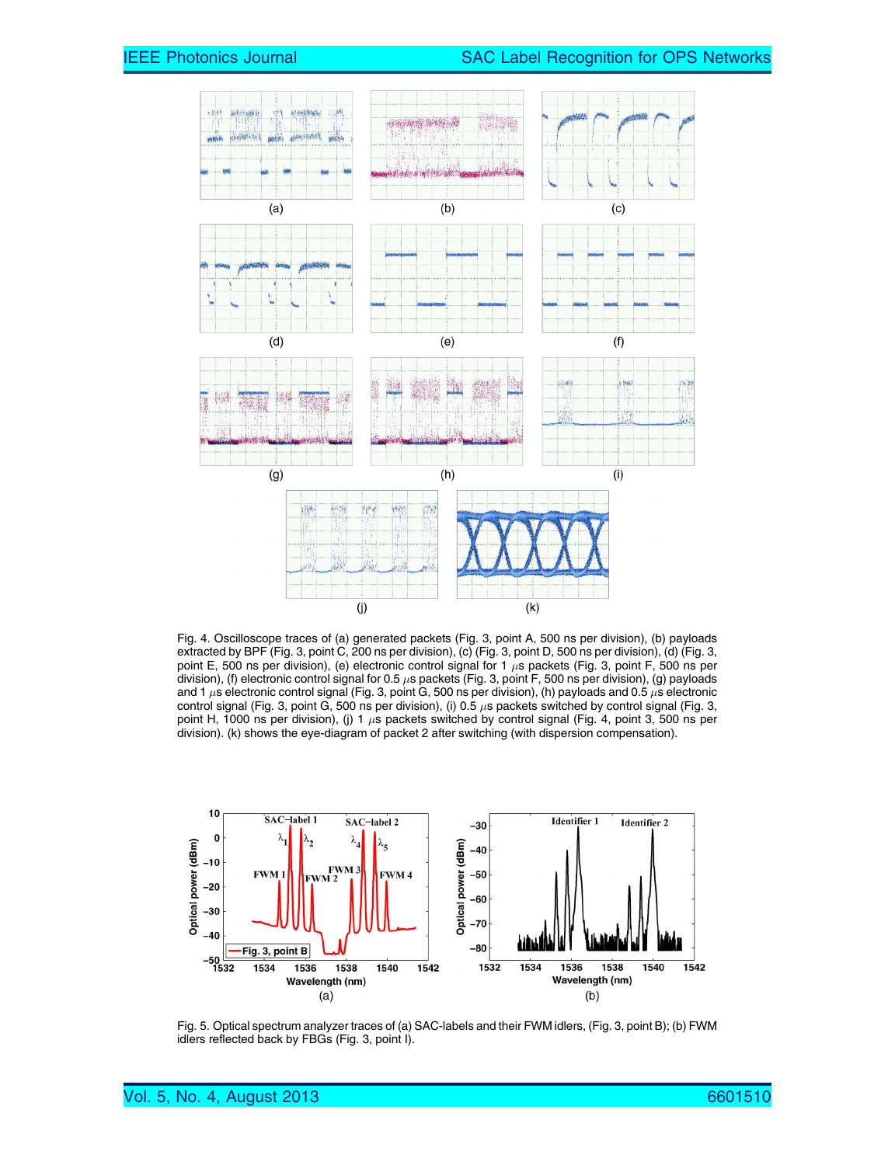

Fig. 4. Oscilloscope traces of (a) generated packets (Fig. 3, point A, 500 ns per division), (b) payloads extracted by BPF (Fig. 3, point C, 200 ns per division), (c) (Fig. 3, point D, 500 ns per division), (d) (Fig. 3, point E, 500 ns per division), (e) electronic control signal for 1  $\mu$ s packets (Fig. 3, point F, 500 ns per division), (f) electronic control signal for 0.5  $\mu$ s packets (Fig. 3, point F, 500 ns per division), (g) payloads and 1  $\mu$ s electronic control signal (Fig. 3, point G, 500 ns per division), (h) payloads and 0.5  $\mu$ s electronic control signal (Fig. 3, point G, 500 ns per division), (i) 0.5  $\mu$ s packets switched by control signal (Fig. 3, point H, 1000 ns per division), (j) 1  $\mu$ s packets switched by control signal (Fig. 4, point 3, 500 ns per division). (k) shows the eye-diagram of packet 2 after switching (with dispersion compensation).



Fig. 5. Optical spectrum analyzer traces of (a) SAC-labels and their FWM idlers, (Fig. 3, point B); (b) FWM idlers reflected back by FBGs (Fig. 3, point I).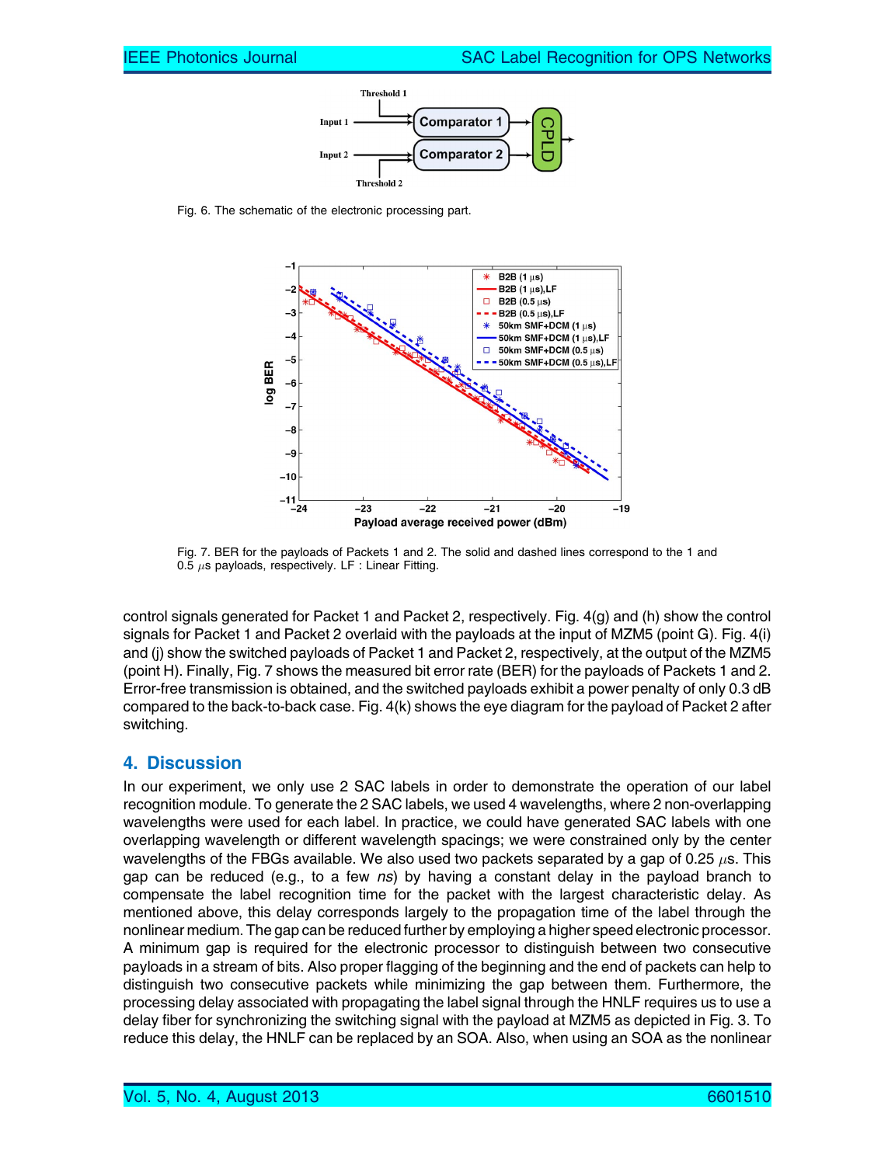

Fig. 6. The schematic of the electronic processing part.



Fig. 7. BER for the payloads of Packets 1 and 2. The solid and dashed lines correspond to the 1 and 0.5  $\mu$ s payloads, respectively. LF : Linear Fitting.

control signals generated for Packet 1 and Packet 2, respectively. Fig. 4(g) and (h) show the control signals for Packet 1 and Packet 2 overlaid with the payloads at the input of MZM5 (point G). Fig. 4(i) and (j) show the switched payloads of Packet 1 and Packet 2, respectively, at the output of the MZM5 (point H). Finally, Fig. 7 shows the measured bit error rate (BER) for the payloads of Packets 1 and 2. Error-free transmission is obtained, and the switched payloads exhibit a power penalty of only 0.3 dB compared to the back-to-back case. Fig. 4(k) shows the eye diagram for the payload of Packet 2 after switching.

#### 4. Discussion

In our experiment, we only use 2 SAC labels in order to demonstrate the operation of our label recognition module. To generate the 2 SAC labels, we used 4 wavelengths, where 2 non-overlapping wavelengths were used for each label. In practice, we could have generated SAC labels with one overlapping wavelength or different wavelength spacings; we were constrained only by the center wavelengths of the FBGs available. We also used two packets separated by a gap of 0.25  $\mu$ s. This gap can be reduced (e.g., to a few ns) by having a constant delay in the payload branch to compensate the label recognition time for the packet with the largest characteristic delay. As mentioned above, this delay corresponds largely to the propagation time of the label through the nonlinear medium. The gap can be reduced further by employing a higher speed electronic processor. A minimum gap is required for the electronic processor to distinguish between two consecutive payloads in a stream of bits. Also proper flagging of the beginning and the end of packets can help to distinguish two consecutive packets while minimizing the gap between them. Furthermore, the processing delay associated with propagating the label signal through the HNLF requires us to use a delay fiber for synchronizing the switching signal with the payload at MZM5 as depicted in Fig. 3. To reduce this delay, the HNLF can be replaced by an SOA. Also, when using an SOA as the nonlinear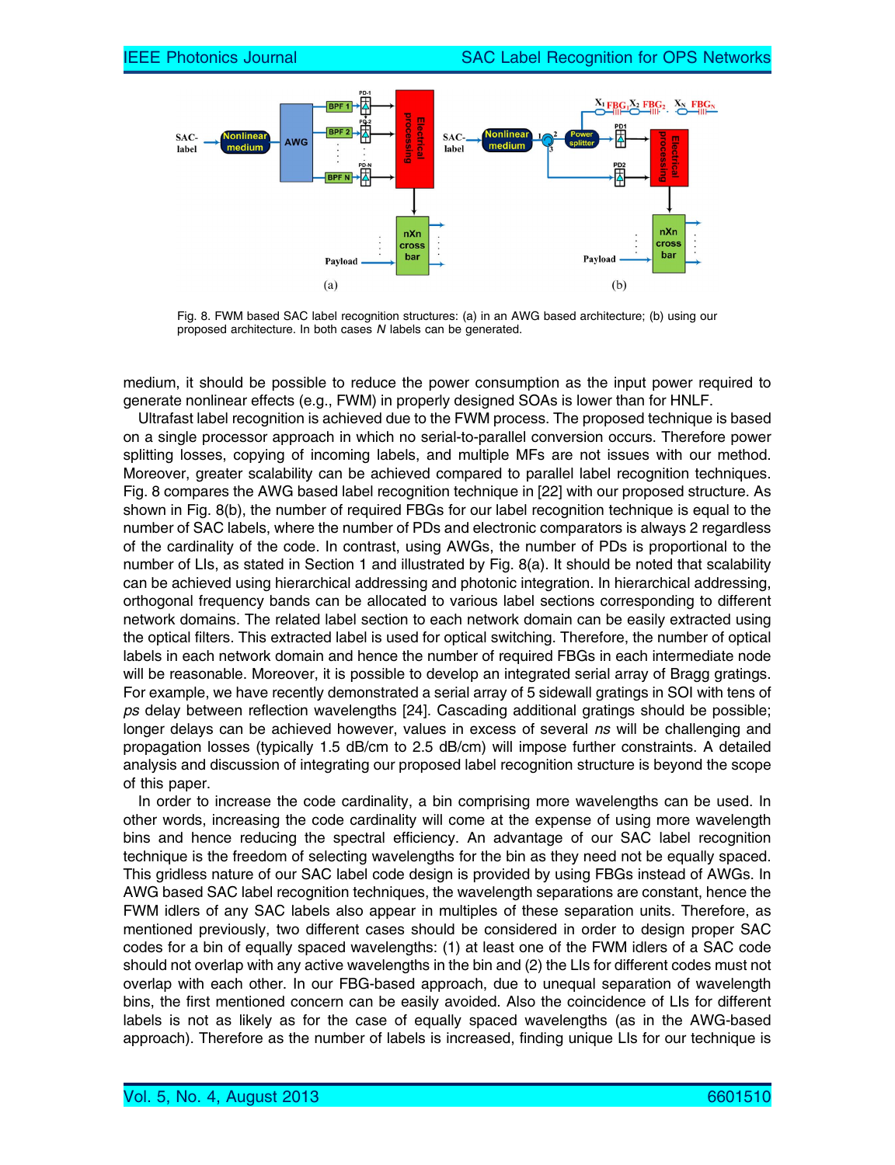

Fig. 8. FWM based SAC label recognition structures: (a) in an AWG based architecture; (b) using our proposed architecture. In both cases N labels can be generated.

medium, it should be possible to reduce the power consumption as the input power required to generate nonlinear effects (e.g., FWM) in properly designed SOAs is lower than for HNLF.

Ultrafast label recognition is achieved due to the FWM process. The proposed technique is based on a single processor approach in which no serial-to-parallel conversion occurs. Therefore power splitting losses, copying of incoming labels, and multiple MFs are not issues with our method. Moreover, greater scalability can be achieved compared to parallel label recognition techniques. Fig. 8 compares the AWG based label recognition technique in [22] with our proposed structure. As shown in Fig. 8(b), the number of required FBGs for our label recognition technique is equal to the number of SAC labels, where the number of PDs and electronic comparators is always 2 regardless of the cardinality of the code. In contrast, using AWGs, the number of PDs is proportional to the number of LIs, as stated in Section 1 and illustrated by Fig. 8(a). It should be noted that scalability can be achieved using hierarchical addressing and photonic integration. In hierarchical addressing, orthogonal frequency bands can be allocated to various label sections corresponding to different network domains. The related label section to each network domain can be easily extracted using the optical filters. This extracted label is used for optical switching. Therefore, the number of optical labels in each network domain and hence the number of required FBGs in each intermediate node will be reasonable. Moreover, it is possible to develop an integrated serial array of Bragg gratings. For example, we have recently demonstrated a serial array of 5 sidewall gratings in SOI with tens of ps delay between reflection wavelengths [24]. Cascading additional gratings should be possible; longer delays can be achieved however, values in excess of several ns will be challenging and propagation losses (typically 1.5 dB/cm to 2.5 dB/cm) will impose further constraints. A detailed analysis and discussion of integrating our proposed label recognition structure is beyond the scope of this paper.

In order to increase the code cardinality, a bin comprising more wavelengths can be used. In other words, increasing the code cardinality will come at the expense of using more wavelength bins and hence reducing the spectral efficiency. An advantage of our SAC label recognition technique is the freedom of selecting wavelengths for the bin as they need not be equally spaced. This gridless nature of our SAC label code design is provided by using FBGs instead of AWGs. In AWG based SAC label recognition techniques, the wavelength separations are constant, hence the FWM idlers of any SAC labels also appear in multiples of these separation units. Therefore, as mentioned previously, two different cases should be considered in order to design proper SAC codes for a bin of equally spaced wavelengths: (1) at least one of the FWM idlers of a SAC code should not overlap with any active wavelengths in the bin and (2) the LIs for different codes must not overlap with each other. In our FBG-based approach, due to unequal separation of wavelength bins, the first mentioned concern can be easily avoided. Also the coincidence of LIs for different labels is not as likely as for the case of equally spaced wavelengths (as in the AWG-based approach). Therefore as the number of labels is increased, finding unique LIs for our technique is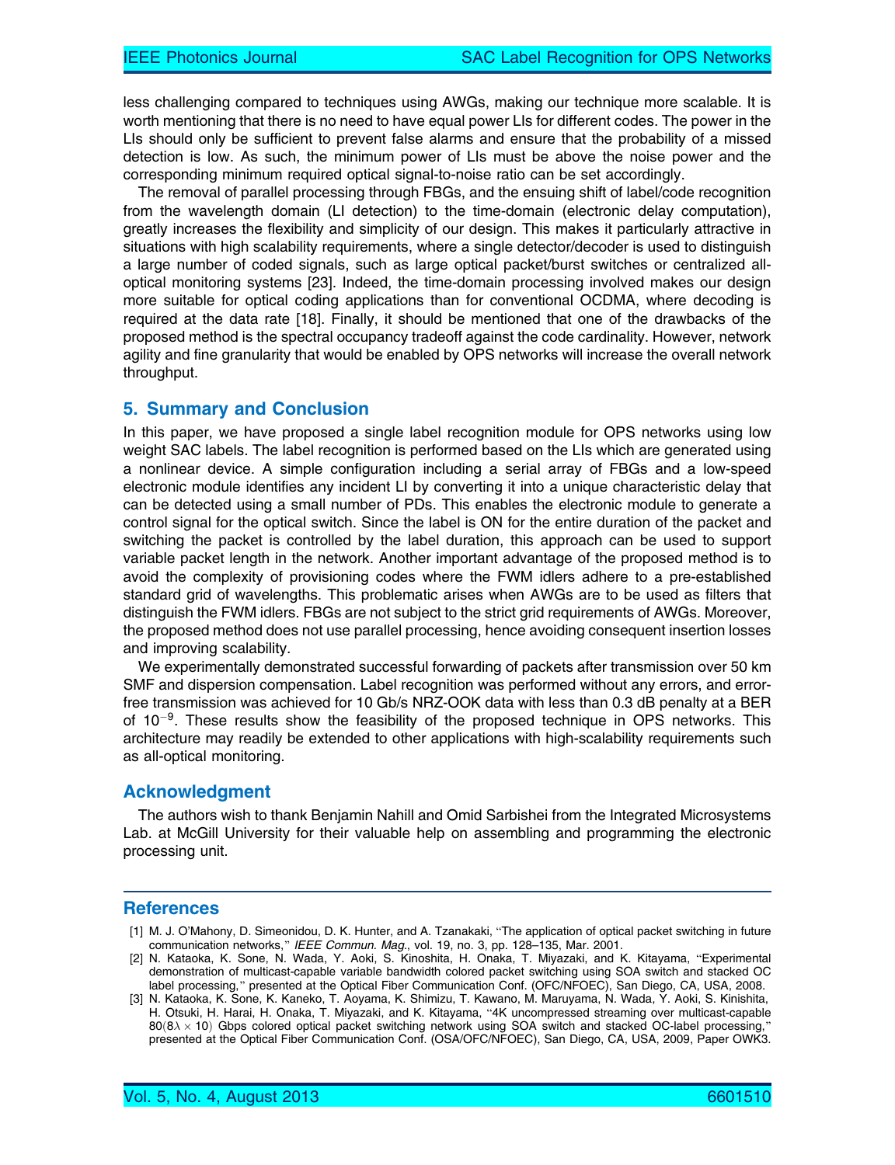less challenging compared to techniques using AWGs, making our technique more scalable. It is worth mentioning that there is no need to have equal power LIs for different codes. The power in the LIs should only be sufficient to prevent false alarms and ensure that the probability of a missed detection is low. As such, the minimum power of LIs must be above the noise power and the corresponding minimum required optical signal-to-noise ratio can be set accordingly.

The removal of parallel processing through FBGs, and the ensuing shift of label/code recognition from the wavelength domain (LI detection) to the time-domain (electronic delay computation), greatly increases the flexibility and simplicity of our design. This makes it particularly attractive in situations with high scalability requirements, where a single detector/decoder is used to distinguish a large number of coded signals, such as large optical packet/burst switches or centralized alloptical monitoring systems [23]. Indeed, the time-domain processing involved makes our design more suitable for optical coding applications than for conventional OCDMA, where decoding is required at the data rate [18]. Finally, it should be mentioned that one of the drawbacks of the proposed method is the spectral occupancy tradeoff against the code cardinality. However, network agility and fine granularity that would be enabled by OPS networks will increase the overall network throughput.

#### 5. Summary and Conclusion

In this paper, we have proposed a single label recognition module for OPS networks using low weight SAC labels. The label recognition is performed based on the LIs which are generated using a nonlinear device. A simple configuration including a serial array of FBGs and a low-speed electronic module identifies any incident LI by converting it into a unique characteristic delay that can be detected using a small number of PDs. This enables the electronic module to generate a control signal for the optical switch. Since the label is ON for the entire duration of the packet and switching the packet is controlled by the label duration, this approach can be used to support variable packet length in the network. Another important advantage of the proposed method is to avoid the complexity of provisioning codes where the FWM idlers adhere to a pre-established standard grid of wavelengths. This problematic arises when AWGs are to be used as filters that distinguish the FWM idlers. FBGs are not subject to the strict grid requirements of AWGs. Moreover, the proposed method does not use parallel processing, hence avoiding consequent insertion losses and improving scalability.

We experimentally demonstrated successful forwarding of packets after transmission over 50 km SMF and dispersion compensation. Label recognition was performed without any errors, and errorfree transmission was achieved for 10 Gb/s NRZ-OOK data with less than 0.3 dB penalty at a BER of 10<sup>-9</sup>. These results show the feasibility of the proposed technique in OPS networks. This architecture may readily be extended to other applications with high-scalability requirements such as all-optical monitoring.

#### Acknowledgment

The authors wish to thank Benjamin Nahill and Omid Sarbishei from the Integrated Microsystems Lab. at McGill University for their valuable help on assembling and programming the electronic processing unit.

#### **References**

- [1] M. J. O'Mahony, D. Simeonidou, D. K. Hunter, and A. Tzanakaki, "The application of optical packet switching in future communication networks," IEEE Commun. Mag., vol. 19, no. 3, pp. 128-135, Mar. 2001.
- [2] N. Kataoka, K. Sone, N. Wada, Y. Aoki, S. Kinoshita, H. Onaka, T. Miyazaki, and K. Kitayama, "Experimental demonstration of multicast-capable variable bandwidth colored packet switching using SOA switch and stacked OC label processing," presented at the Optical Fiber Communication Conf. (OFC/NFOEC), San Diego, CA, USA, 2008.
- [3] N. Kataoka, K. Sone, K. Kaneko, T. Aoyama, K. Shimizu, T. Kawano, M. Maruyama, N. Wada, Y. Aoki, S. Kinishita, H. Otsuki, H. Harai, H. Onaka, T. Miyazaki, and K. Kitayama, "4K uncompressed streaming over multicast-capable  $80(8\lambda \times 10)$  Gbps colored optical packet switching network using SOA switch and stacked OC-label processing," presented at the Optical Fiber Communication Conf. (OSA/OFC/NFOEC), San Diego, CA, USA, 2009, Paper OWK3.